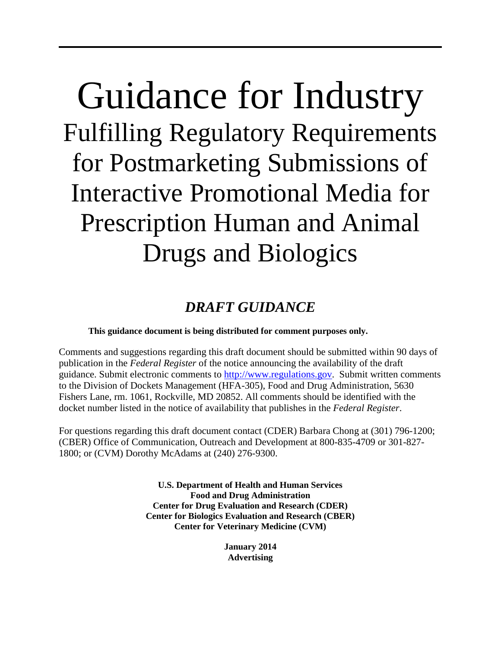# Guidance for Industry Fulfilling Regulatory Requirements for Postmarketing Submissions of Interactive Promotional Media for Prescription Human and Animal Drugs and Biologics

# *DRAFT GUIDANCE*

# **This guidance document is being distributed for comment purposes only.**

Comments and suggestions regarding this draft document should be submitted within 90 days of publication in the *Federal Register* of the notice announcing the availability of the draft guidance. Submit electronic comments to [http://www.regulations.gov.](http://www.regulations.gov/) Submit written comments to the Division of Dockets Management (HFA-305), Food and Drug Administration, 5630 Fishers Lane, rm. 1061, Rockville, MD 20852. All comments should be identified with the docket number listed in the notice of availability that publishes in the *Federal Register*.

For questions regarding this draft document contact (CDER) Barbara Chong at (301) 796-1200; (CBER) Office of Communication, Outreach and Development at 800-835-4709 or 301-827- 1800; or (CVM) Dorothy McAdams at (240) 276-9300.

> **U.S. Department of Health and Human Services Food and Drug Administration Center for Drug Evaluation and Research (CDER) Center for Biologics Evaluation and Research (CBER) Center for Veterinary Medicine (CVM)**

> > **January 2014 Advertising**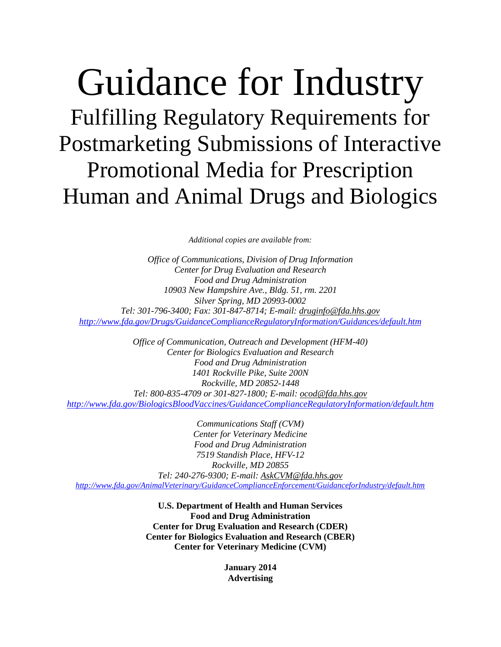# Guidance for Industry Fulfilling Regulatory Requirements for Postmarketing Submissions of Interactive Promotional Media for Prescription Human and Animal Drugs and Biologics

*Additional copies are available from:*

*Office of Communications, Division of Drug Information Center for Drug Evaluation and Research Food and Drug Administration 10903 New Hampshire Ave., Bldg. 51, rm. 2201 Silver Spring, MD 20993-0002 Tel: 301-796-3400; Fax: 301-847-8714; E-mail: [druginfo@fda.hhs.gov](mailto:druginfo@fda.hhs.gov) <http://www.fda.gov/Drugs/GuidanceComplianceRegulatoryInformation/Guidances/default.htm>*

*Office of Communication, Outreach and Development (HFM-40) Center for Biologics Evaluation and Research Food and Drug Administration 1401 Rockville Pike, Suite 200N Rockville, MD 20852-1448 Tel: 800-835-4709 or 301-827-1800; E-mail: ocod@fda.hhs.gov <http://www.fda.gov/BiologicsBloodVaccines/GuidanceComplianceRegulatoryInformation/default.htm>*

*Communications Staff (CVM) Center for Veterinary Medicine Food and Drug Administration 7519 Standish Place, HFV-12 Rockville, MD 20855 Tel: 240-276-9300; E-mail: [AskCVM@fda.hhs.gov](mailto:AskCVM@fda.hhs.gov) <http://www.fda.gov/AnimalVeterinary/GuidanceComplianceEnforcement/GuidanceforIndustry/default.htm>*

> **U.S. Department of Health and Human Services Food and Drug Administration Center for Drug Evaluation and Research (CDER) Center for Biologics Evaluation and Research (CBER) Center for Veterinary Medicine (CVM)**

> > **January 2014 Advertising**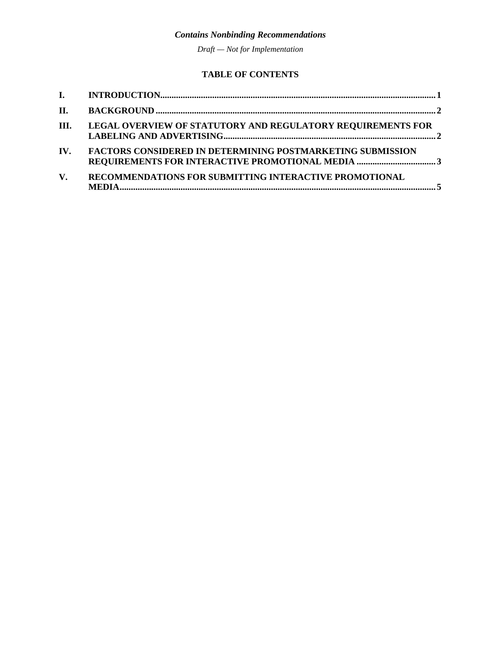*Draft — Not for Implementation*

## **TABLE OF CONTENTS**

| II.  |                                                                                                                       |  |
|------|-----------------------------------------------------------------------------------------------------------------------|--|
| III. | LEGAL OVERVIEW OF STATUTORY AND REGULATORY REQUIREMENTS FOR                                                           |  |
| IV.  | <b>FACTORS CONSIDERED IN DETERMINING POSTMARKETING SUBMISSION</b><br>REQUIREMENTS FOR INTERACTIVE PROMOTIONAL MEDIA 3 |  |
| V.   | RECOMMENDATIONS FOR SUBMITTING INTERACTIVE PROMOTIONAL                                                                |  |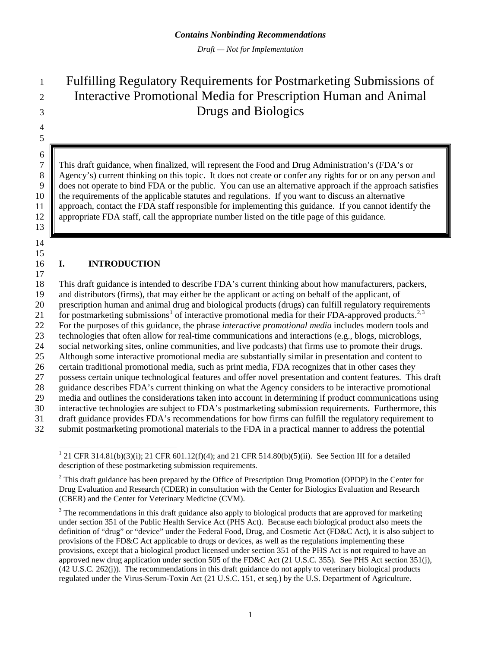*Draft — Not for Implementation*

# Fulfilling Regulatory Requirements for Postmarketing Submissions of Interactive Promotional Media for Prescription Human and Animal Drugs and Biologics

 

 

 This draft guidance, when finalized, will represent the Food and Drug Administration's (FDA's or 8 Agency's) current thinking on this topic. It does not create or confer any rights for or on any person and does not operate to bind FDA or the public. You can use an alternative approach if the approach satisfies 10 the requirements of the applicable statutes and regulations. If you want to discuss an alternative approach, contact the FDA staff responsible for implementing this guidance. If you cannot ident approach, contact the FDA staff responsible for implementing this guidance. If you cannot identify the appropriate FDA staff, call the appropriate number listed on the title page of this guidance.

### **I. INTRODUCTION**

 This draft guidance is intended to describe FDA's current thinking about how manufacturers, packers, and distributors (firms), that may either be the applicant or acting on behalf of the applicant, of prescription human and animal drug and biological products (drugs) can fulfill regulatory requirements [1](#page-3-0) for postmarketing submissions<sup>1</sup> of interactive promotional media for their FDA-approved products.<sup>[2](#page-3-1),[3](#page-3-2)</sup> For the purposes of this guidance, the phrase *interactive promotional media* includes modern tools and technologies that often allow for real-time communications and interactions (e.g., blogs, microblogs, social networking sites, online communities, and live podcasts) that firms use to promote their drugs. Although some interactive promotional media are substantially similar in presentation and content to 26 certain traditional promotional media, such as print media, FDA recognizes that in other cases they<br>27 possess certain unique technological features and offer novel presentation and content features. This possess certain unique technological features and offer novel presentation and content features. This draft guidance describes FDA's current thinking on what the Agency considers to be interactive promotional media and outlines the considerations taken into account in determining if product communications using interactive technologies are subject to FDA's postmarketing submission requirements. Furthermore, this draft guidance provides FDA's recommendations for how firms can fulfill the regulatory requirement to submit postmarketing promotional materials to the FDA in a practical manner to address the potential

<span id="page-3-0"></span><sup>&</sup>lt;sup>1</sup> 21 CFR 314.81(b)(3)(i); 21 CFR 601.12(f)(4); and 21 CFR 514.80(b)(5)(ii). See Section III for a detailed description of these postmarketing submission requirements.

<span id="page-3-1"></span><sup>&</sup>lt;sup>2</sup> This draft guidance has been prepared by the Office of Prescription Drug Promotion (OPDP) in the Center for Drug Evaluation and Research (CDER) in consultation with the Center for Biologics Evaluation and Research (CBER) and the Center for Veterinary Medicine (CVM).

<span id="page-3-2"></span><sup>&</sup>lt;sup>3</sup> The recommendations in this draft guidance also apply to biological products that are approved for marketing under section 351 of the Public Health Service Act (PHS Act). Because each biological product also meets the definition of "drug" or "device" under the Federal Food, Drug, and Cosmetic Act (FD&C Act), it is also subject to provisions of the FD&C Act applicable to drugs or devices, as well as the regulations implementing these provisions, except that a biological product licensed under section 351 of the PHS Act is not required to have an approved new drug application under section 505 of the FD&C Act (21 U.S.C. 355). See PHS Act section 351(j), (42 U.S.C. 262(j)). The recommendations in this draft guidance do not apply to veterinary biological products regulated under the Virus-Serum-Toxin Act (21 U.S.C. 151, et seq.) by the U.S. Department of Agriculture.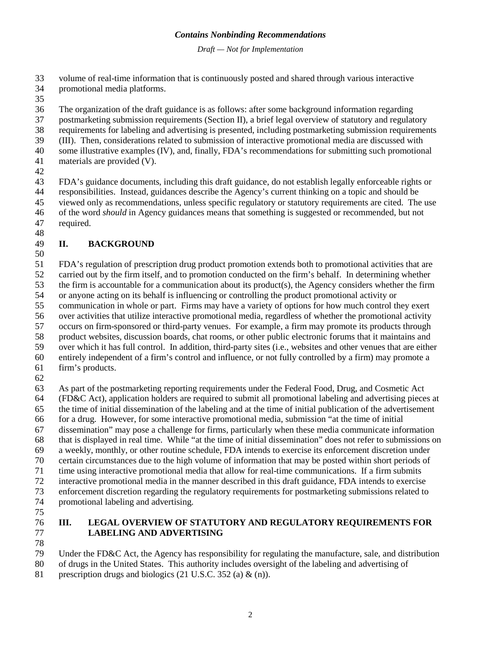*Draft — Not for Implementation*

- volume of real-time information that is continuously posted and shared through various interactive
- promotional media platforms.
- 
- The organization of the draft guidance is as follows: after some background information regarding
- postmarketing submission requirements (Section II), a brief legal overview of statutory and regulatory
- requirements for labeling and advertising is presented, including postmarketing submission requirements
- (III). Then, considerations related to submission of interactive promotional media are discussed with
- some illustrative examples (IV), and, finally, FDA's recommendations for submitting such promotional materials are provided (V).
- 

 FDA's guidance documents, including this draft guidance, do not establish legally enforceable rights or responsibilities. Instead, guidances describe the Agency's current thinking on a topic and should be viewed only as recommendations, unless specific regulatory or statutory requirements are cited. The use of the word *should* in Agency guidances means that something is suggested or recommended, but not required. 

## **II. BACKGROUND**

 FDA's regulation of prescription drug product promotion extends both to promotional activities that are carried out by the firm itself, and to promotion conducted on the firm's behalf. In determining whether the firm is accountable for a communication about its product(s), the Agency considers whether the firm or anyone acting on its behalf is influencing or controlling the product promotional activity or communication in whole or part. Firms may have a variety of options for how much control they exert over activities that utilize interactive promotional media, regardless of whether the promotional activity occurs on firm-sponsored or third-party venues. For example, a firm may promote its products through product websites, discussion boards, chat rooms, or other public electronic forums that it maintains and over which it has full control. In addition, third-party sites (i.e., websites and other venues that are either entirely independent of a firm's control and influence, or not fully controlled by a firm) may promote a firm's products.

 As part of the postmarketing reporting requirements under the Federal Food, Drug, and Cosmetic Act (FD&C Act), application holders are required to submit all promotional labeling and advertising pieces at the time of initial dissemination of the labeling and at the time of initial publication of the advertisement for a drug. However, for some interactive promotional media, submission "at the time of initial dissemination" may pose a challenge for firms, particularly when these media communicate information that is displayed in real time. While "at the time of initial dissemination" does not refer to submissions on a weekly, monthly, or other routine schedule, FDA intends to exercise its enforcement discretion under certain circumstances due to the high volume of information that may be posted within short periods of time using interactive promotional media that allow for real-time communications. If a firm submits interactive promotional media in the manner described in this draft guidance, FDA intends to exercise enforcement discretion regarding the regulatory requirements for postmarketing submissions related to promotional labeling and advertising. 

#### **III. LEGAL OVERVIEW OF STATUTORY AND REGULATORY REQUIREMENTS FOR LABELING AND ADVERTISING**

- 
- Under the FD&C Act, the Agency has responsibility for regulating the manufacture, sale, and distribution
- of drugs in the United States. This authority includes oversight of the labeling and advertising of
- 81 prescription drugs and biologics (21 U.S.C. 352 (a) & (n)).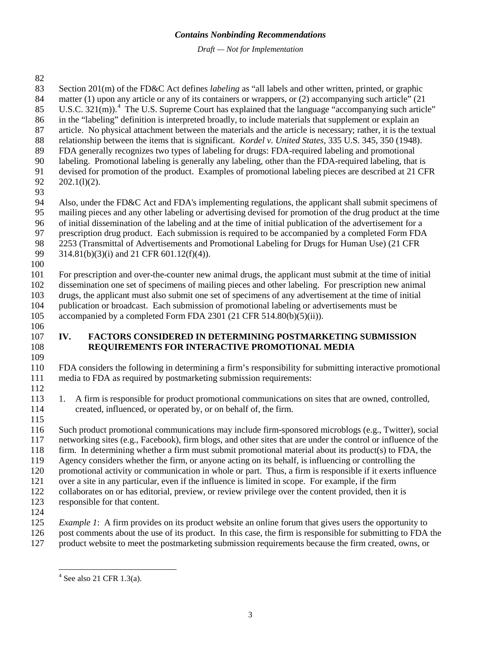*Draft — Not for Implementation*

- Section 201(m) of the FD&C Act defines *labeling* as "all labels and other written, printed, or graphic 84 matter (1) upon any article or any of its containers or wrappers, or (2) accompanying such article" (21) U.S.C.  $321(m)$ . <sup>[4](#page-5-0)</sup> The U.S. Supreme Court has explained that the language "accompanying such article" in the "labeling" definition is interpreted broadly, to include materials that supplement or explain an article. No physical attachment between the materials and the article is necessary; rather, it is the textual relationship between the items that is significant. *Kordel v. United States*, 335 U.S. 345, 350 (1948). FDA generally recognizes two types of labeling for drugs: FDA-required labeling and promotional labeling. Promotional labeling is generally any labeling, other than the FDA-required labeling, that is devised for promotion of the product. Examples of promotional labeling pieces are described at 21 CFR 202.1(l)(2). Also, under the FD&C Act and FDA's implementing regulations, the applicant shall submit specimens of mailing pieces and any other labeling or advertising devised for promotion of the drug product at the time of initial dissemination of the labeling and at the time of initial publication of the advertisement for a prescription drug product. Each submission is required to be accompanied by a completed Form FDA 98 2253 (Transmittal of Advertisements and Promotional Labeling for Drugs for Human Use) (21 CFR 99 314.81(b)(3)(i) and 21 CFR 601.12(f)(4)).  $314.81(b)(3)(i)$  and 21 CFR 601.12(f)(4)). For prescription and over-the-counter new animal drugs, the applicant must submit at the time of initial dissemination one set of specimens of mailing pieces and other labeling. For prescription new animal drugs, the applicant must also submit one set of specimens of any advertisement at the time of initial publication or broadcast. Each submission of promotional labeling or advertisements must be 105 accompanied by a completed Form FDA 2301 (21 CFR 514.80(b)(5)(ii)). **IV. FACTORS CONSIDERED IN DETERMINING POSTMARKETING SUBMISSION REQUIREMENTS FOR INTERACTIVE PROMOTIONAL MEDIA** FDA considers the following in determining a firm's responsibility for submitting interactive promotional media to FDA as required by postmarketing submission requirements: 113 1. A firm is responsible for product promotional communications on sites that are owned, controlled, created, influenced, or operated by, or on behalf of, the firm. created, influenced, or operated by, or on behalf of, the firm. Such product promotional communications may include firm-sponsored microblogs (e.g., Twitter), social networking sites (e.g., Facebook), firm blogs, and other sites that are under the control or influence of the firm. In determining whether a firm must submit promotional material about its product(s) to FDA, the Agency considers whether the firm, or anyone acting on its behalf, is influencing or controlling the promotional activity or communication in whole or part. Thus, a firm is responsible if it exerts influence over a site in any particular, even if the influence is limited in scope. For example, if the firm collaborates on or has editorial, preview, or review privilege over the content provided, then it is responsible for that content. *Example 1*: A firm provides on its product website an online forum that gives users the opportunity to post comments about the use of its product. In this case, the firm is responsible for submitting to FDA the
- <span id="page-5-0"></span>product website to meet the postmarketing submission requirements because the firm created, owns, or

See also 21 CFR 1.3(a).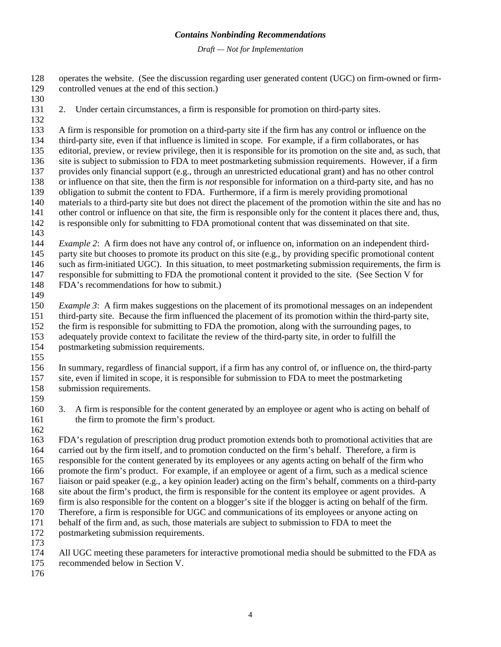*Draft — Not for Implementation*

 operates the website. (See the discussion regarding user generated content (UGC) on firm-owned or firm- controlled venues at the end of this section.) 2. Under certain circumstances, a firm is responsible for promotion on third-party sites. A firm is responsible for promotion on a third-party site if the firm has any control or influence on the third-party site, even if that influence is limited in scope. For example, if a firm collaborates, or has editorial, preview, or review privilege, then it is responsible for its promotion on the site and, as such, that site is subject to submission to FDA to meet postmarketing submission requirements. However, if a firm provides only financial support (e.g., through an unrestricted educational grant) and has no other control or influence on that site, then the firm is *not* responsible for information on a third-party site, and has no obligation to submit the content to FDA. Furthermore, if a firm is merely providing promotional materials to a third-party site but does not direct the placement of the promotion within the site and has no other control or influence on that site, the firm is responsible only for the content it places there and, thus, is responsible only for submitting to FDA promotional content that was disseminated on that site. *Example 2*: A firm does not have any control of, or influence on, information on an independent third-145 party site but chooses to promote its product on this site (e.g., by providing specific promotional content such as firm-initiated UGC). In this situation, to meet postmarketing submission requirements, the firm is responsible for submitting to FDA the promotional content it provided to the site. (See Section V for FDA's recommendations for how to submit.) *Example 3*: A firm makes suggestions on the placement of its promotional messages on an independent third-party site. Because the firm influenced the placement of its promotion within the third-party site, the firm is responsible for submitting to FDA the promotion, along with the surrounding pages, to adequately provide context to facilitate the review of the third-party site, in order to fulfill the postmarketing submission requirements. In summary, regardless of financial support, if a firm has any control of, or influence on, the third-party site, even if limited in scope, it is responsible for submission to FDA to meet the postmarketing submission requirements. 159<br>160 3. A firm is responsible for the content generated by an employee or agent who is acting on behalf of the firm to promote the firm's product. FDA's regulation of prescription drug product promotion extends both to promotional activities that are carried out by the firm itself, and to promotion conducted on the firm's behalf. Therefore, a firm is responsible for the content generated by its employees or any agents acting on behalf of the firm who promote the firm's product. For example, if an employee or agent of a firm, such as a medical science liaison or paid speaker (e.g., a key opinion leader) acting on the firm's behalf, comments on a third-party site about the firm's product, the firm is responsible for the content its employee or agent provides. A firm is also responsible for the content on a blogger's site if the blogger is acting on behalf of the firm. Therefore, a firm is responsible for UGC and communications of its employees or anyone acting on behalf of the firm and, as such, those materials are subject to submission to FDA to meet the postmarketing submission requirements. 173<br>174 All UGC meeting these parameters for interactive promotional media should be submitted to the FDA as

recommended below in Section V.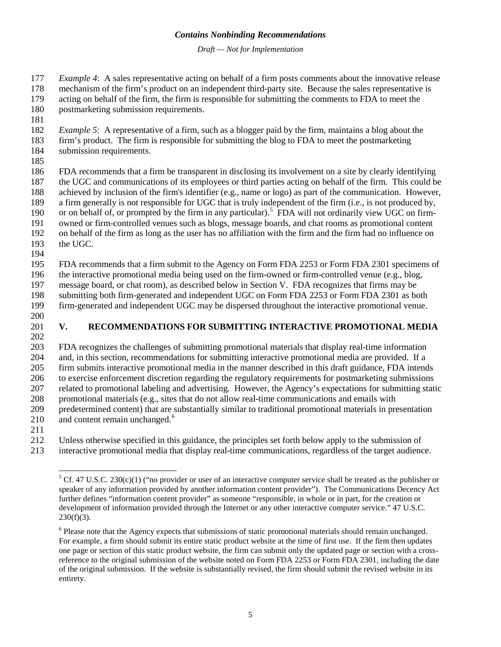*Draft — Not for Implementation*

*Example 4*: A sales representative acting on behalf of a firm posts comments about the innovative release

 mechanism of the firm's product on an independent third-party site. Because the sales representative is acting on behalf of the firm, the firm is responsible for submitting the comments to FDA to meet the

postmarketing submission requirements.

*Example 5*: A representative of a firm, such as a blogger paid by the firm, maintains a blog about the

- firm's product. The firm is responsible for submitting the blog to FDA to meet the postmarketing
- submission requirements.
- 

 FDA recommends that a firm be transparent in disclosing its involvement on a site by clearly identifying the UGC and communications of its employees or third parties acting on behalf of the firm. This could be achieved by inclusion of the firm's identifier (e.g., name or logo) as part of the communication. However, a firm generally is not responsible for UGC that is truly independent of the firm (i.e., is not produced by, 190 or on behalf of, or prompted by the firm in any particular).<sup>[5](#page-7-0)</sup> FDA will not ordinarily view UGC on firm- owned or firm-controlled venues such as blogs, message boards, and chat rooms as promotional content on behalf of the firm as long as the user has no affiliation with the firm and the firm had no influence on the UGC.

FDA recommends that a firm submit to the Agency on Form FDA 2253 or Form FDA 2301 specimens of

 the interactive promotional media being used on the firm-owned or firm-controlled venue (e.g., blog, message board, or chat room), as described below in Section V. FDA recognizes that firms may be

198 submitting both firm-generated and independent UGC on Form FDA 2253 or Form FDA 2301 as both<br>199 firm-generated and independent UGC may be dispersed throughout the interactive promotional venue. firm-generated and independent UGC may be dispersed throughout the interactive promotional venue.

# **V. RECOMMENDATIONS FOR SUBMITTING INTERACTIVE PROMOTIONAL MEDIA**

 FDA recognizes the challenges of submitting promotional materials that display real-time information and, in this section, recommendations for submitting interactive promotional media are provided. If a firm submits interactive promotional media in the manner described in this draft guidance, FDA intends to exercise enforcement discretion regarding the regulatory requirements for postmarketing submissions related to promotional labeling and advertising. However, the Agency's expectations for submitting static 208 promotional materials (e.g., sites that do not allow real-time communications and emails with<br>209 predetermined content) that are substantially similar to traditional promotional materials in pre predetermined content) that are substantially similar to traditional promotional materials in presentation 210 and content remain unchanged. $6<sup>6</sup>$ 

Unless otherwise specified in this guidance, the principles set forth below apply to the submission of

<span id="page-7-0"></span>interactive promotional media that display real-time communications, regardless of the target audience.

 Cf. 47 U.S.C. 230(c)(1) ("no provider or user of an interactive computer service shall be treated as the publisher or speaker of any information provided by another information content provider"). The Communications Decency Act further defines "information content provider" as someone "responsible, in whole or in part, for the creation or development of information provided through the Internet or any other interactive computer service." 47 U.S.C.  $230(f)(3)$ .

<span id="page-7-1"></span><sup>&</sup>lt;sup>6</sup> Please note that the Agency expects that submissions of static promotional materials should remain unchanged. For example, a firm should submit its entire static product website at the time of first use. If the firm then updates one page or section of this static product website, the firm can submit only the updated page or section with a crossreference to the original submission of the website noted on Form FDA 2253 or Form FDA 2301, including the date of the original submission. If the website is substantially revised, the firm should submit the revised website in its entirety.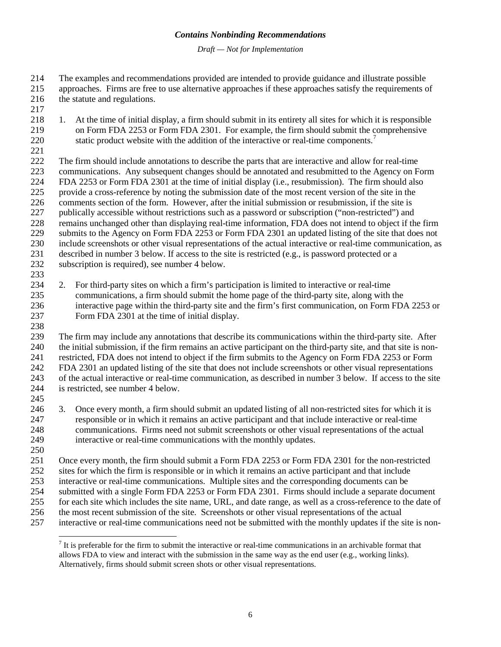*Draft — Not for Implementation*

 The examples and recommendations provided are intended to provide guidance and illustrate possible approaches. Firms are free to use alternative approaches if these approaches satisfy the requirements of

- the statute and regulations.
- 
- 1. At the time of initial display, a firm should submit in its entirety all sites for which it is responsible on Form FDA 2253 or Form FDA 2301. For example, the firm should submit the comprehensive 220 static product website with the addition of the interactive or real-time components.<sup>[7](#page-8-0)</sup>
- 

 The firm should include annotations to describe the parts that are interactive and allow for real-time communications. Any subsequent changes should be annotated and resubmitted to the Agency on Form FDA 2253 or Form FDA 2301 at the time of initial display (i.e., resubmission). The firm should also provide a cross-reference by noting the submission date of the most recent version of the site in the comments section of the form. However, after the initial submission or resubmission, if the site is publically accessible without restrictions such as a password or subscription ("non-restricted") and remains unchanged other than displaying real-time information, FDA does not intend to object if the firm submits to the Agency on Form FDA 2253 or Form FDA 2301 an updated listing of the site that does not include screenshots or other visual representations of the actual interactive or real-time communication, as described in number 3 below. If access to the site is restricted (e.g., is password protected or a subscription is required), see number 4 below.

 2. For third-party sites on which a firm's participation is limited to interactive or real-time communications, a firm should submit the home page of the third-party site, along with the interactive page within the third-party site and the firm's first communication, on Form FDA 2253 or Form FDA 2301 at the time of initial display.

 The firm may include any annotations that describe its communications within the third-party site. After the initial submission, if the firm remains an active participant on the third-party site, and that site is non- restricted, FDA does not intend to object if the firm submits to the Agency on Form FDA 2253 or Form FDA 2301 an updated listing of the site that does not include screenshots or other visual representations of the actual interactive or real-time communication, as described in number 3 below. If access to the site is restricted, see number 4 below.

245<br>246

3. Once every month, a firm should submit an updated listing of all non-restricted sites for which it is responsible or in which it remains an active participant and that include interactive or real-time communications. Firms need not submit screenshots or other visual representations of the actual interactive or real-time communications with the monthly updates.

 Once every month, the firm should submit a Form FDA 2253 or Form FDA 2301 for the non-restricted sites for which the firm is responsible or in which it remains an active participant and that include interactive or real-time communications. Multiple sites and the corresponding documents can be submitted with a single Form FDA 2253 or Form FDA 2301. Firms should include a separate document for each site which includes the site name, URL, and date range, as well as a cross-reference to the date of

the most recent submission of the site. Screenshots or other visual representations of the actual

<span id="page-8-0"></span>interactive or real-time communications need not be submitted with the monthly updates if the site is non-

 $<sup>7</sup>$  It is preferable for the firm to submit the interactive or real-time communications in an archivable format that</sup> allows FDA to view and interact with the submission in the same way as the end user (e.g., working links). Alternatively, firms should submit screen shots or other visual representations.